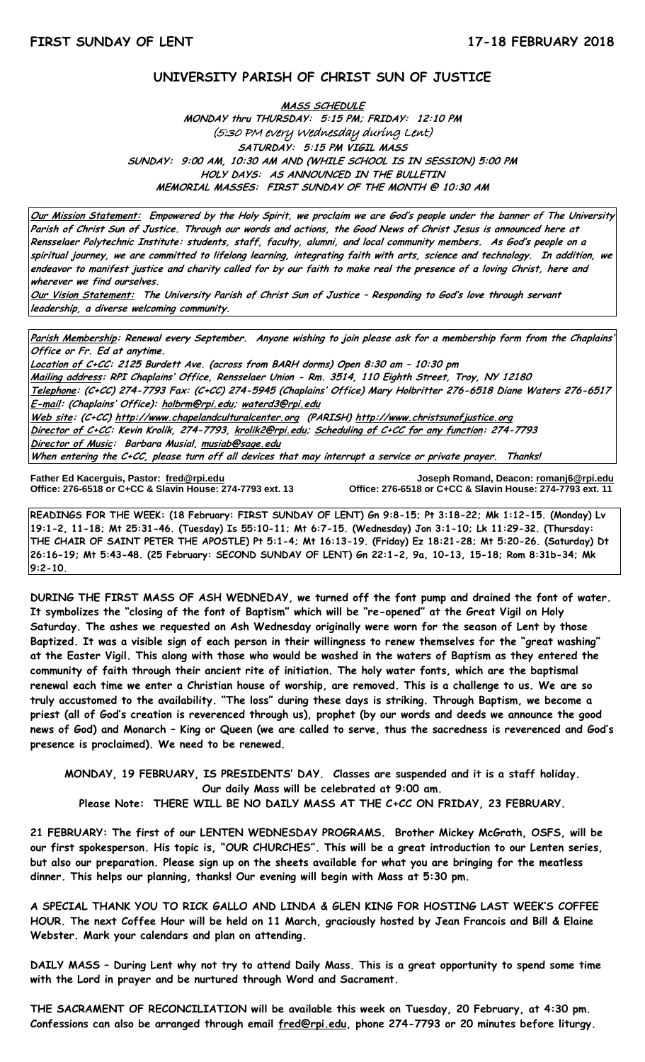### **UNIVERSITY PARISH OF CHRIST SUN OF JUSTICE**

**MASS SCHEDULE MONDAY thru THURSDAY: 5:15 PM; FRIDAY: 12:10 PM** (5:30 PM every Wednesday during Lent) **SATURDAY: 5:15 PM VIGIL MASS SUNDAY: 9:00 AM, 10:30 AM AND (WHILE SCHOOL IS IN SESSION) 5:00 PM HOLY DAYS: AS ANNOUNCED IN THE BULLETIN MEMORIAL MASSES: FIRST SUNDAY OF THE MONTH @ 10:30 AM**

**Our Mission Statement: Empowered by the Holy Spirit, we proclaim we are God's people under the banner of The University Parish of Christ Sun of Justice. Through our words and actions, the Good News of Christ Jesus is announced here at Rensselaer Polytechnic Institute: students, staff, faculty, alumni, and local community members. As God's people on a spiritual journey, we are committed to lifelong learning, integrating faith with arts, science and technology. In addition, we endeavor to manifest justice and charity called for by our faith to make real the presence of a loving Christ, here and wherever we find ourselves.**

**Our Vision Statement: The University Parish of Christ Sun of Justice – Responding to God's love through servant leadership, a diverse welcoming community.**

**Parish Membership: Renewal every September. Anyone wishing to join please ask for a membership form from the Chaplains' Office or Fr. Ed at anytime.**

**Location of C+CC: 2125 Burdett Ave. (across from BARH dorms) Open 8:30 am – 10:30 pm Mailing address: RPI Chaplains' Office, Rensselaer Union - Rm. 3514, 110 Eighth Street, Troy, NY 12180 Telephone: (C+CC) 274-7793 Fax: (C+CC) 274-5945 (Chaplains' Office) Mary Holbritter 276-6518 Diane Waters 276-6517 E-mail: (Chaplains' Office): [holbrm@rpi.edu;](mailto:holbrm@rpi.edu) waterd3@rpi.edu Web site: (C+CC[\) http://www.chapelandculturalcenter.org](http://www.chapelandculturalcenter.org/) (PARISH) http://www.christsunofjustice.org Director of C+CC: Kevin Krolik, 274-7793, krolik2@rpi.edu; Scheduling of C+CC for any function: 274-7793 Director of Music: Barbara Musial, [musiab@sage.edu](mailto:musiab@sage.edu) When entering the C+CC, please turn off all devices that may interrupt a service or private prayer. Thanks!** 

Father Ed Kacerguis, Pastor: fred@rpi.edu

**Father Ed Kacerguis, Pastor: [fred@rpi.edu](mailto:fred@rpi.edu) Joseph Romand, Deacon[: romanj6@rpi.edu](mailto:romanj6@rpi.edu) Office: 276-6518 or C+CC & Slavin House: 274-7793 ext. 11** 

**READINGS FOR THE WEEK: (18 February: FIRST SUNDAY OF LENT) Gn 9:8-15; Pt 3:18-22; Mk 1:12-15. (Monday) Lv 19:1-2, 11-18; Mt 25:31-46. (Tuesday) Is 55:10-11; Mt 6:7-15. (Wednesday) Jon 3:1-10; Lk 11:29-32. (Thursday: THE CHAIR OF SAINT PETER THE APOSTLE) Pt 5:1-4; Mt 16:13-19. (Friday) Ez 18:21-28; Mt 5:20-26. (Saturday) Dt 26:16-19; Mt 5:43-48. (25 February: SECOND SUNDAY OF LENT) Gn 22:1-2, 9a, 10-13, 15-18; Rom 8:31b-34; Mk 9:2-10.**

**DURING THE FIRST MASS OF ASH WEDNEDAY, we turned off the font pump and drained the font of water. It symbolizes the "closing of the font of Baptism" which will be "re-opened" at the Great Vigil on Holy Saturday. The ashes we requested on Ash Wednesday originally were worn for the season of Lent by those Baptized. It was a visible sign of each person in their willingness to renew themselves for the "great washing" at the Easter Vigil. This along with those who would be washed in the waters of Baptism as they entered the community of faith through their ancient rite of initiation. The holy water fonts, which are the baptismal renewal each time we enter a Christian house of worship, are removed. This is a challenge to us. We are so truly accustomed to the availability. "The loss" during these days is striking. Through Baptism, we become a priest (all of God's creation is reverenced through us), prophet (by our words and deeds we announce the good news of God) and Monarch – King or Queen (we are called to serve, thus the sacredness is reverenced and God's presence is proclaimed). We need to be renewed.** 

**MONDAY, 19 FEBRUARY, IS PRESIDENTS' DAY. Classes are suspended and it is a staff holiday. Our daily Mass will be celebrated at 9:00 am. Please Note: THERE WILL BE NO DAILY MASS AT THE C+CC ON FRIDAY, 23 FEBRUARY.**

**21 FEBRUARY: The first of our LENTEN WEDNESDAY PROGRAMS. Brother Mickey McGrath, OSFS, will be our first spokesperson. His topic is, "OUR CHURCHES". This will be a great introduction to our Lenten series, but also our preparation. Please sign up on the sheets available for what you are bringing for the meatless dinner. This helps our planning, thanks! Our evening will begin with Mass at 5:30 pm.** 

**A SPECIAL THANK YOU TO RICK GALLO AND LINDA & GLEN KING FOR HOSTING LAST WEEK'S COFFEE HOUR. The next Coffee Hour will be held on 11 March, graciously hosted by Jean Francois and Bill & Elaine Webster. Mark your calendars and plan on attending.** 

**DAILY MASS – During Lent why not try to attend Daily Mass. This is a great opportunity to spend some time with the Lord in prayer and be nurtured through Word and Sacrament.**

**THE SACRAMENT OF RECONCILIATION will be available this week on Tuesday, 20 February, at 4:30 pm. Confessions can also be arranged through email [fred@rpi.edu,](mailto:fred@rpi.edu) phone 274-7793 or 20 minutes before liturgy.**